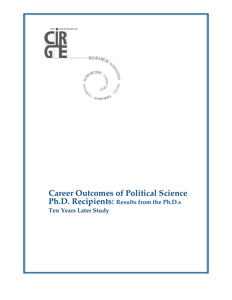

# **Career Outcomes of Political Science Ph.D. Recipients: Results from the Ph.D.s Ten Years Later Study**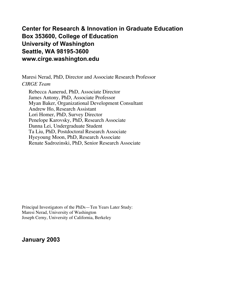## **Center for Research & Innovation in Graduate Education Box 353600, College of Education University of Washington Seattle, WA 98195-3600 www.cirge.washington.edu**

Maresi Nerad, PhD, Director and Associate Research Professor *CIRGE Team*

Rebecca Aanerud, PhD, Associate Director James Antony, PhD, Associate Professor Myan Baker, Organizational Development Consultant Andrew Ho, Research Assistant Lori Homer, PhD, Survey Director Penelope Karovsky, PhD, Research Associate Danna Lei, Undergraduate Student Ta Liu, PhD, Postdoctoral Research Associate Hyeyoung Moon, PhD, Research Associate Renate Sadrozinski, PhD, Senior Research Associate

Principal Investigators of the PhDs—Ten Years Later Study: Maresi Nerad, University of Washington Joseph Cerny, University of California, Berkeley

### **January 2003**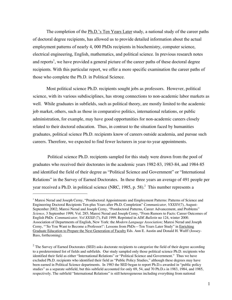The completion of the Ph.D.'s Ten Years Later study, a national study of the career paths of doctoral degree recipients, has allowed us to provide detailed information about the actual employment patterns of nearly 4, 000 PhDs recipients in biochemistry, computer science, electrical engineering, English, mathematics, and political science. In previous research notes and reports<sup>1</sup>, we have provided a general picture of the career paths of these doctoral degree recipients. With this particular report, we offer a more specific examination the career paths of those who complete the Ph.D. in Political Science.

Most political science Ph.D. recipients sought jobs as professors. However, political science, with its various subdisciplines, has strong connections to non-academic labor markets as well. While graduates in subfields, such as political theory, are mostly limited to the academic job market, others, such as those in comparative politics, international relations, or public administration, for example, may have good opportunities for non-academic careers closely related to their doctoral education. Thus, in contrast to the situation faced by humanities graduates, political science Ph.D. recipients know of careers outside academia, and pursue such careers. Therefore, we expected to find fewer lecturers in year-to-year appointments.

 Political science Ph.D. recipients sampled for this study were drawn from the pool of graduates who received their doctorates in the academic years 1982-83, 1983-84, and 1984-85 and identified the field of their degree as "Political Science and Government" or "International Relations" in the Survey of Earned Doctorates. In these three years an average of 491 people per year received a Ph.D. in political science (NRC, 1985, p. 58). $^2$  This number represents a

 $\overline{a}$ 

<sup>&</sup>lt;sup>1</sup> Maresi Nerad and Joseph Cerny, "Postdoctoral Appointments and Employment Patterns: Patterns of Science and Engineering Doctoral Recipients Ten-plus Years after Ph.D. Completion" *Communicator, VXXXV*(7), August-September 2002; Maresi Nerad and Joseph Cerny, "Postdoctoral Patterns, Career Advancement, and Problems" *Science,* 3 September 1999, Vol. 285; Maresi Nerad and Joseph Cerny, "From Rumors to Facts: Career Outcomes of English PhDs *Communicator, Vol XXXII* (7), Fall 1999. Reprinted in *ADE Bulletin* no 124, winter 2000. Association of Departments of English, New York: the *Modern Language Association;* Maresi Nerad and Joseph Cerny, "'So You Want to Become a Professor!': Lessons from PhDs—Ten Years Later Study" in Enriching Graduate Education to Prepare the Next Generation of Faculty Eds. Ann E. Austin and Donald H. Wulff (Jossey-Bass, forthcoming).

 $2$  The Survey of Earned Doctorates (SED) asks doctorate recipients to categorize the field of their degree according to a predetermined list of fields and subfields. Our study sampled only those political science Ph.D. recipients who identified their field as either "International Relations" or "Political Science and Government." Thus we have excluded Ph.D. recipients who identified their field as "Public Policy Studies," although these degrees may have been earned in Political Science departments. In 1983 the SED began to report Ph.D.s awarded in "public policy studies" as a separate subfield, but this subfield accounted for only 69, 54, and 70 Ph.D.s in 1983, 1984, and 1985, respectively. The subfield "International Relations" is still heterogeneous including everything from national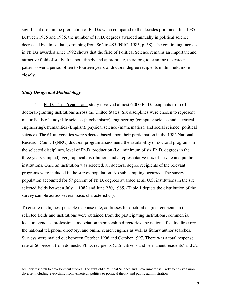significant drop in the production of Ph.D.s when compared to the decades prior and after 1985. Between 1975 and 1985, the number of Ph.D. degrees awarded annually in political science decreased by almost half, dropping from 862 to 485 (NRC, 1985, p. 58). The continuing increase in Ph.D.s awarded since 1992 shows that the field of Political Science remains an important and attractive field of study. It is both timely and appropriate, therefore, to examine the career patterns over a period of ten to fourteen years of doctoral degree recipients in this field more closely.

### *Study Design and Methodology*

 $\overline{a}$ 

The Ph.D.'s Ten Years Later study involved almost 6,000 Ph.D. recipients from 61 doctoral-granting institutions across the United States. Six disciplines were chosen to represent major fields of study: life science (biochemistry), engineering (computer science and electrical engineering), humanities (English), physical science (mathematics), and social science (political science). The 61 universities were selected based upon their participation in the 1982 National Research Council (NRC) doctoral program assessment, the availability of doctoral programs in the selected disciplines, level of Ph.D. production (i.e., minimum of six Ph.D. degrees in the three years sampled), geographical distribution, and a representative mix of private and public institutions. Once an institution was selected, all doctoral degree recipients of the relevant programs were included in the survey population. No sub-sampling occurred. The survey population accounted for 57 percent of Ph.D. degrees awarded at all U.S. institutions in the six selected fields between July 1, 1982 and June 230, 1985. (Table 1 depicts the distribution of the survey sample across several basic characteristics).

To ensure the highest possible response rate, addresses for doctoral degree recipients in the selected fields and institutions were obtained from the participating institutions, commercial locator agencies, professional association membership directories, the national faculty directory, the national telephone directory, and online search engines as well as library author searches. Surveys were mailed out between October 1996 and October 1997. There was a total response rate of 66 percent from domestic Ph.D. recipients (U.S. citizens and permanent residents) and 52

security research to development studies. The subfield "Political Science and Government" is likely to be even more diverse, including everything from American politics to political theory and public administration.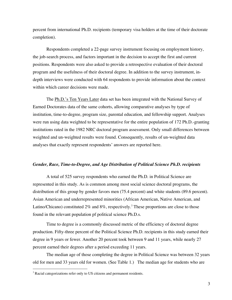percent from international Ph.D. recipients (temporary visa holders at the time of their doctorate completion).

Respondents completed a 22-page survey instrument focusing on employment history, the job-search process, and factors important in the decision to accept the first and current positions. Respondents were also asked to provide a retrospective evaluation of their doctoral program and the usefulness of their doctoral degree. In addition to the survey instrument, indepth interviews were conducted with 64 respondents to provide information about the context within which career decisions were made.

The Ph.D.'s Ten Years Later data set has been integrated with the National Survey of Earned Doctorates data of the same cohorts, allowing comparative analyses by type of institution, time-to-degree, program size, parental education, and fellowship support. Analyses were run using data weighted to be representative for the entire population of 172 Ph.D.-granting institutions rated in the 1982 NRC doctoral program assessment. Only small differences between weighted and un-weighted results were found. Consequently, results of un-weighted data analyses that exactly represent respondents' answers are reported here.

### *Gender, Race, Time-to-Degree, and Age Distribution of Political Science Ph.D. recipients*

A total of 525 survey respondents who earned the Ph.D. in Political Science are represented in this study. As is common among most social science doctoral programs, the distribution of this group by gender favors men (75.4 percent) and white students (89.6 percent). Asian American and underrepresented minorities (African American, Native American, and Latino/Chicano) constituted 2% and 8%, respectively.<sup>3</sup> These proportions are close to those found in the relevant population pf political science Ph.D.s.

Time to degree is a commonly discussed metric of the efficiency of doctoral degree production. Fifty-three percent of the Political Science Ph.D. recipients in this study earned their degree in 9 years or fewer. Another 20 percent took between 9 and 11 years, while nearly 27 percent earned their degrees after a period exceeding 11 years.

The median age of those completing the degree in Political Science was between 32 years old for men and 33 years old for women. (See Table 1.) The median age for students who are

<sup>&</sup>lt;sup>2</sup><br>3  $3$  Racial categorizations refer only to US citizens and permanent residents.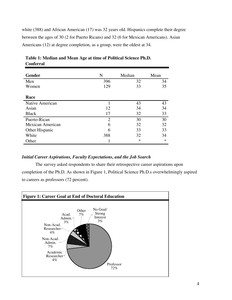white (388) and African American (17) was 32 years old. Hispanics complete their degree between the ages of 30 (2 for Puerto Ricans) and 32 (6 for Mexican Americans). Asian Americans (12) at degree completion, as a group, were the oldest at 34.

| <b>Gender</b>    | N   | Median | Mean   |
|------------------|-----|--------|--------|
| Men              | 396 | 32     | 34     |
| Women            | 129 | 33     | 35     |
|                  |     |        |        |
| Race             |     |        |        |
| Native American  |     | 43     | 43     |
| Asian            | 12  | 34     | 34     |
| <b>Black</b>     | 17  | 32     | 33     |
| Puerto-Rican     | 2   | 30     | 30     |
| Mexican American | 6   | 32     | 32     |
| Other Hispanic   | 6   | 33     | 33     |
| White            | 388 | 32     | 34     |
| Other            |     | ∗      | $\ast$ |

**Table 1: Median and Mean Age at time of Political Science Ph.D. Conferral**

### *Initial Career Aspirations, Faculty Expectations, and the Job Search*

The survey asked respondents to share their retrospective career aspirations upon completion of the Ph.D. As shown in Figure 1, Political Science Ph.D.s overwhelmingly aspired to careers as professors (72 percent).

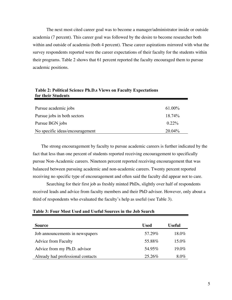The next most cited career goal was to become a manager/administrator inside or outside academia (7 percent). This career goal was followed by the desire to become researcher both within and outside of academia (both 4 percent). These career aspirations mirrored with what the survey respondents reported were the career expectations of their faculty for the students within their programs. Table 2 shows that 61 percent reported the faculty encouraged them to pursue academic positions.

| Pursue academic jobs            | 61.00%   |
|---------------------------------|----------|
| Pursue jobs in both sectors     | 18.74%   |
| Pursue BGN jobs                 | $0.22\%$ |
| No specific ideas/encouragement | 20.04%   |

| Table 2: Political Science Ph.D.s Views on Faculty Expectations |  |  |
|-----------------------------------------------------------------|--|--|
| for their Students                                              |  |  |

The strong encouragement by faculty to pursue academic careers is further indicated by the fact that less than one percent of students reported receiving encouragement to specifically pursue Non-Academic careers. Nineteen percent reported receiving encouragement that was balanced between pursuing academic and non-academic careers. Twenty percent reported receiving no specific type of encouragement and often said the faculty did appear not to care.

Searching for their first job as freshly minted PhDs, slightly over half of respondents received leads and advice from faculty members and their PhD advisor. However, only about a third of respondents who evaluated the faculty's help as useful (see Table 3).

#### **Table 3: Four Most Used and Useful Sources in the Job Search**

| <b>Source</b>                     | Used   | <b>Useful</b> |
|-----------------------------------|--------|---------------|
| Job announcements in newspapers   | 57.29% | 18.0%         |
| <b>Advice from Faculty</b>        | 55.88% | $15.0\%$      |
| Advice from my Ph.D. advisor      | 54.95% | $19.0\%$      |
| Already had professional contacts | 25.26% | 8.0%          |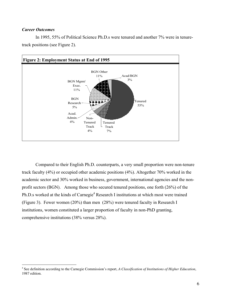### *Career Outcomes*





Compared to their English Ph.D. counterparts, a very small proportion were non-tenure track faculty (4%) or occupied other academic positions (4%). Altogether 70% worked in the academic sector and 30% worked in business, government, international agencies and the nonprofit sectors (BGN). Among those who secured tenured positions, one forth (26%) of the Ph.D.s worked at the kinds of Carnegie<sup>4</sup> Research I institutions at which most were trained (Figure 3). Fewer women (20%) than men (28%) were tenured faculty in Research I institutions, women constituted a larger proportion of faculty in non-PhD granting, comprehensive institutions (38% versus 28%).

 $\frac{1}{4}$  See definition according to the Carnegie Commission's report, *A Classification of Institutions of Higher Education*, 1987 edition.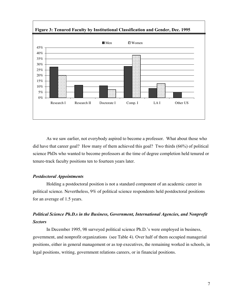

 **Figure 3: Tenured Faculty by Institutional Classification and Gender, Dec. 1995**

As we saw earlier, not everybody aspired to become a professor. What about those who did have that career goal? How many of them achieved this goal? Two thirds (66%) of political science PhDs who wanted to become professors at the time of degree completion held tenured or tenure-track faculty positions ten to fourteen years later.

### *Postdoctoral Appointments*

Holding a postdoctoral position is not a standard component of an academic career in political science. Nevertheless, 9% of political science respondents held postdoctoral positions for an average of 1.5 years.

### *Political Science Ph.D.s in the Business, Government, International Agencies, and Nonprofit Sectors*

In December 1995, 98 surveyed political science Ph.D.'s were employed in business, government, and nonprofit organizations (see Table 4). Over half of them occupied managerial positions, either in general management or as top executives, the remaining worked in schools, in legal positions, writing, government relations careers, or in financial positions.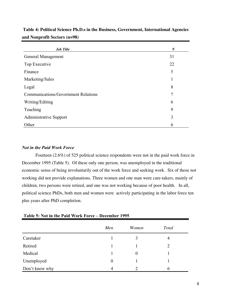| <b>Job Title</b>                           | $\boldsymbol{N}$ |
|--------------------------------------------|------------------|
| General Management                         | 31               |
| Top Executive                              | 22               |
| Finance                                    | 5                |
| Marketing/Sales                            | 1                |
| Legal                                      | 8                |
| <b>Communications/Government Relations</b> | 7                |
| Writing/Editing                            | 6                |
| Teaching                                   | 9                |
| <b>Administrative Support</b>              | 3                |
| Other                                      | 6                |

**Table 4: Political Science Ph.D.s in the Business, Government, International Agencies and Nonprofit Sectors (n=98)**

### *Not in the Paid Work Force*

Fourteen (2.6%) of 525 political science respondents were not in the paid work force in December 1995 (Table 5). Of these only one person, was unemployed in the traditional economic sense of being involuntarily out of the work force and seeking work. Six of those not working did not provide explanations. Three women and one man were care-takers, mainly of children, two persons were retired, and one was not working because of poor health. In all, political science PhDs, both men and women were actively participating in the labor force ten plus years after PhD completion.

|                | Men      | Women    | <b>Total</b> |
|----------------|----------|----------|--------------|
| Caretaker      |          |          | 4            |
| Retired        |          |          | 2            |
| Medical        |          | $\theta$ |              |
| Unemployed     | $\theta$ |          |              |
| Don't know why | 4        |          | h            |

### **Table 5: Not in the Paid Work Force – December 1995**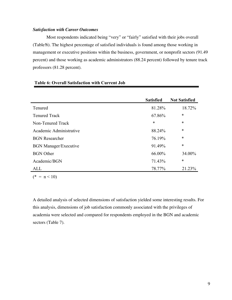### *Satisfaction with Career Outcomes*

Most respondents indicated being "very" or "fairly" satisfied with their jobs overall (Table!6). The highest percentage of satisfied individuals is found among those working in management or executive positions within the business, government, or nonprofit sectors (91.49 percent) and those working as academic administrators (88.24 percent) followed by tenure track professors (81.28 percent).

|                              | <b>Satisfied</b> | <b>Not Satisfied</b> |
|------------------------------|------------------|----------------------|
| Tenured                      | 81.28%           | 18.72%               |
| <b>Tenured Track</b>         | 67.86%           | $\ast$               |
| Non-Tenured Track            | $\ast$           | $\ast$               |
| Academic Administrative      | 88.24%           | $\ast$               |
| <b>BGN</b> Researcher        | 76.19%           | $\ast$               |
| <b>BGN Manager/Executive</b> | 91.49%           | $\ast$               |
| <b>BGN</b> Other             | 66.00%           | 34.00%               |
| Academic/BGN                 | 71.43%           | $\ast$               |
| ALL                          | 78.77%           | 21.23%               |

### **Table 6: Overall Satisfaction with Current Job**

 $(* = n < 10)$ 

A detailed analysis of selected dimensions of satisfaction yielded some interesting results. For this analysis, dimensions of job satisfaction commonly associated with the privileges of academia were selected and compared for respondents employed in the BGN and academic sectors (Table 7).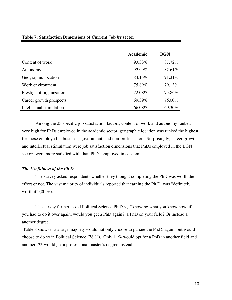| <b>Table 7: Satisfaction Dimensions of Current Job by sector</b> |  |  |  |
|------------------------------------------------------------------|--|--|--|
|------------------------------------------------------------------|--|--|--|

|                          | <b>Academic</b> | <b>BGN</b> |
|--------------------------|-----------------|------------|
| Content of work          | 93.33\%         | 87.72%     |
| Autonomy                 | $92.99\%$       | 82.61%     |
| Geographic location      | 84.15%          | 91.31%     |
| Work environment         | 75.89%          | 79.13%     |
| Prestige of organization | 72.08%          | 75.86%     |
| Career growth prospects  | 69.39%          | 75.00%     |
| Intellectual stimulation | 66.08%          | 69.30%     |

Among the 23 specific job satisfaction factors, content of work and autonomy ranked very high for PhDs employed in the academic sector, geographic location was ranked the highest for those employed in business, government, and non-profit sectors. Surprisingly, career growth and intellectual stimulation were job satisfaction dimensions that PhDs employed in the BGN sectors were more satisfied with than PhDs employed in academia.

### *The Usefulness of the Ph.D.*

The survey asked respondents whether they thought completing the PhD was worth the effort or not. The vast majority of individuals reported that earning the Ph.D. was "definitely worth it" (80.%).

The survey further asked Political Science Ph.D.s., "knowing what you know now, if you had to do it over again, would you get a PhD again?, a PhD on your field? Or instead a another degree.

 Table 8 shows that a large majority would not only choose to pursue the Ph.D. again, but would choose to do so in Political Science (78 %). Only 11% would opt for a PhD in another field and another 7% would get a professional master's degree instead.